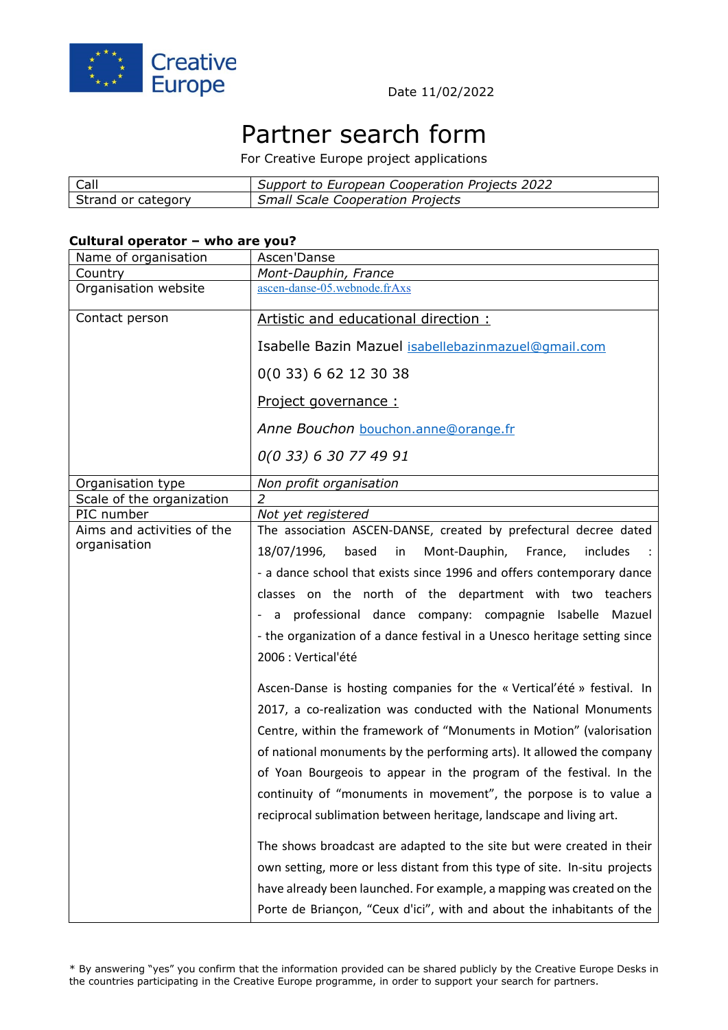

# Partner search form

For Creative Europe project applications

| Call               | Support to European Cooperation Projects 2022 |
|--------------------|-----------------------------------------------|
| Strand or category | <b>Small Scale Cooperation Projects</b>       |

#### **Cultural operator – who are you?**

| Name of organisation       | Ascen'Danse                                                                |
|----------------------------|----------------------------------------------------------------------------|
| Country                    | Mont-Dauphin, France                                                       |
| Organisation website       | ascen-danse-05.webnode.frAxs                                               |
| Contact person             | Artistic and educational direction:                                        |
|                            | Isabelle Bazin Mazuel isabellebazinmazuel@gmail.com                        |
|                            | 0(0 33) 6 62 12 30 38                                                      |
|                            | Project governance :                                                       |
|                            | Anne Bouchon bouchon.anne@orange.fr                                        |
|                            | 0(0 33) 6 30 77 49 91                                                      |
| Organisation type          | Non profit organisation                                                    |
| Scale of the organization  | $\overline{2}$                                                             |
| PIC number                 | Not yet registered                                                         |
| Aims and activities of the | The association ASCEN-DANSE, created by prefectural decree dated           |
| organisation               | 18/07/1996,<br>based<br>in<br>Mont-Dauphin,<br>France,<br>includes         |
|                            | - a dance school that exists since 1996 and offers contemporary dance      |
|                            | classes on the north of the department with two teachers                   |
|                            | - a professional dance company: compagnie Isabelle Mazuel                  |
|                            | - the organization of a dance festival in a Unesco heritage setting since  |
|                            | 2006 : Vertical'été                                                        |
|                            | Ascen-Danse is hosting companies for the « Vertical'été » festival. In     |
|                            | 2017, a co-realization was conducted with the National Monuments           |
|                            | Centre, within the framework of "Monuments in Motion" (valorisation        |
|                            | of national monuments by the performing arts). It allowed the company      |
|                            | of Yoan Bourgeois to appear in the program of the festival. In the         |
|                            | continuity of "monuments in movement", the porpose is to value a           |
|                            | reciprocal sublimation between heritage, landscape and living art.         |
|                            | The shows broadcast are adapted to the site but were created in their      |
|                            | own setting, more or less distant from this type of site. In-situ projects |
|                            | have already been launched. For example, a mapping was created on the      |
|                            | Porte de Briançon, "Ceux d'ici", with and about the inhabitants of the     |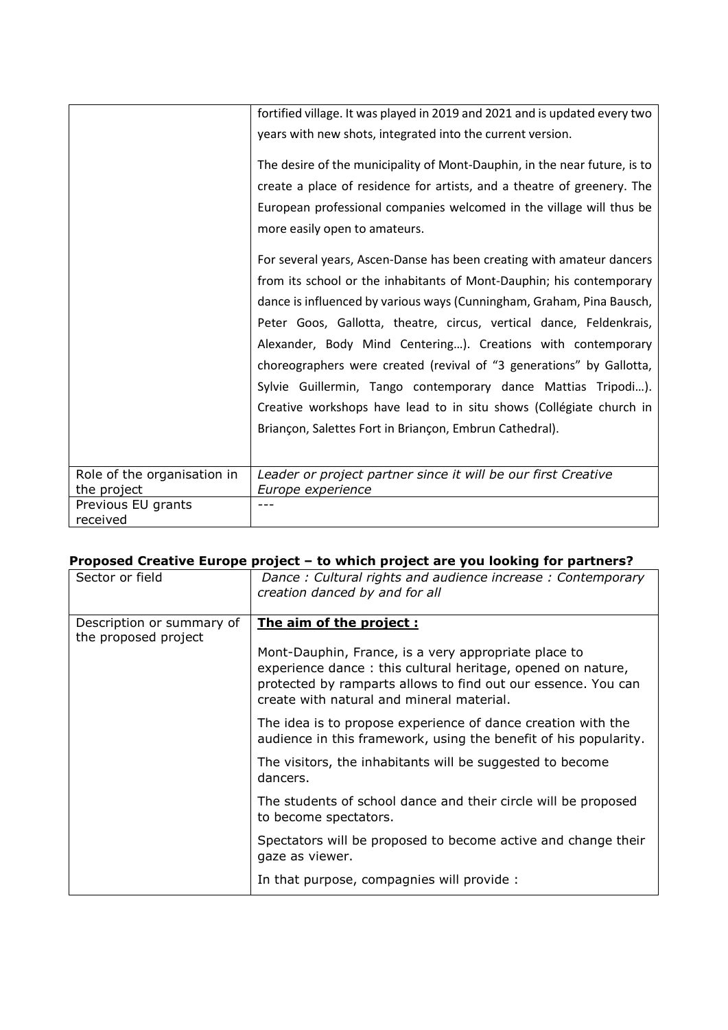|                                   | fortified village. It was played in 2019 and 2021 and is updated every two<br>years with new shots, integrated into the current version.<br>The desire of the municipality of Mont-Dauphin, in the near future, is to<br>create a place of residence for artists, and a theatre of greenery. The |
|-----------------------------------|--------------------------------------------------------------------------------------------------------------------------------------------------------------------------------------------------------------------------------------------------------------------------------------------------|
|                                   | European professional companies welcomed in the village will thus be<br>more easily open to amateurs.                                                                                                                                                                                            |
|                                   | For several years, Ascen-Danse has been creating with amateur dancers                                                                                                                                                                                                                            |
|                                   | from its school or the inhabitants of Mont-Dauphin; his contemporary                                                                                                                                                                                                                             |
|                                   | dance is influenced by various ways (Cunningham, Graham, Pina Bausch,                                                                                                                                                                                                                            |
|                                   | Peter Goos, Gallotta, theatre, circus, vertical dance, Feldenkrais,                                                                                                                                                                                                                              |
|                                   | Alexander, Body Mind Centering). Creations with contemporary                                                                                                                                                                                                                                     |
|                                   | choreographers were created (revival of "3 generations" by Gallotta,                                                                                                                                                                                                                             |
|                                   | Sylvie Guillermin, Tango contemporary dance Mattias Tripodi).                                                                                                                                                                                                                                    |
|                                   | Creative workshops have lead to in situ shows (Collégiate church in                                                                                                                                                                                                                              |
|                                   | Briançon, Salettes Fort in Briançon, Embrun Cathedral).                                                                                                                                                                                                                                          |
|                                   |                                                                                                                                                                                                                                                                                                  |
| Role of the organisation in       | Leader or project partner since it will be our first Creative                                                                                                                                                                                                                                    |
| the project<br>Previous EU grants | Europe experience                                                                                                                                                                                                                                                                                |
| received                          |                                                                                                                                                                                                                                                                                                  |

## **Proposed Creative Europe project – to which project are you looking for partners?**

| Sector or field                                   | Dance: Cultural rights and audience increase: Contemporary<br>creation danced by and for all                                                                                                                                      |
|---------------------------------------------------|-----------------------------------------------------------------------------------------------------------------------------------------------------------------------------------------------------------------------------------|
| Description or summary of<br>the proposed project | The aim of the project:                                                                                                                                                                                                           |
|                                                   | Mont-Dauphin, France, is a very appropriate place to<br>experience dance: this cultural heritage, opened on nature,<br>protected by ramparts allows to find out our essence. You can<br>create with natural and mineral material. |
|                                                   | The idea is to propose experience of dance creation with the<br>audience in this framework, using the benefit of his popularity.                                                                                                  |
|                                                   | The visitors, the inhabitants will be suggested to become<br>dancers.                                                                                                                                                             |
|                                                   | The students of school dance and their circle will be proposed<br>to become spectators.                                                                                                                                           |
|                                                   | Spectators will be proposed to become active and change their<br>gaze as viewer.                                                                                                                                                  |
|                                                   | In that purpose, compagnies will provide :                                                                                                                                                                                        |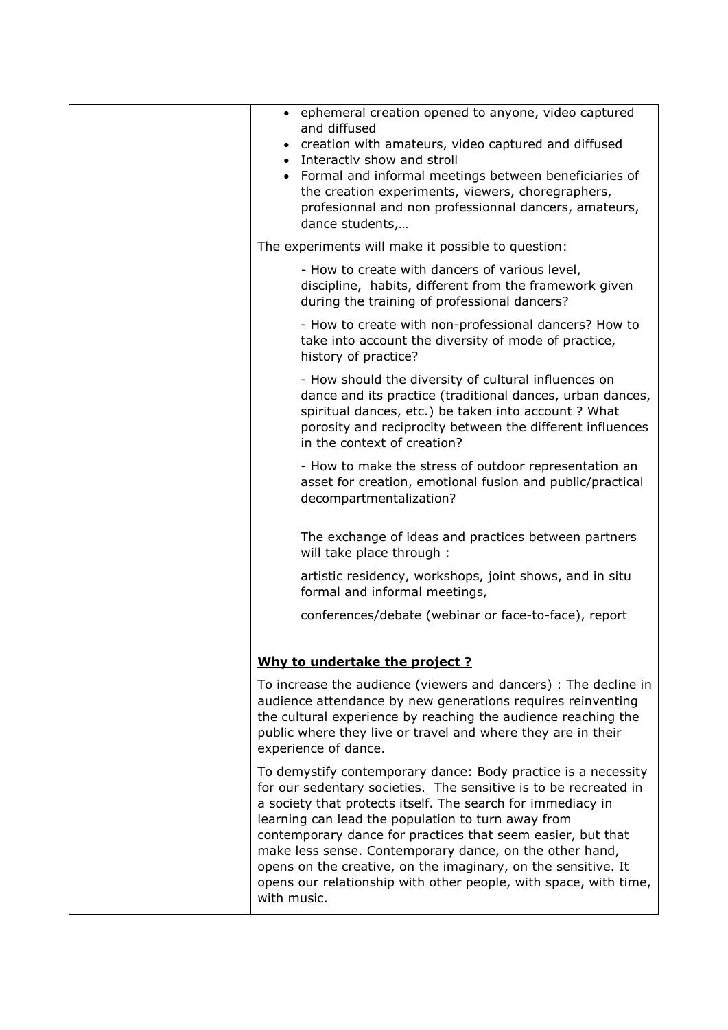| • ephemeral creation opened to anyone, video captured<br>and diffused<br>creation with amateurs, video captured and diffused<br>• Interactiv show and stroll<br>• Formal and informal meetings between beneficiaries of<br>the creation experiments, viewers, choregraphers,<br>profesionnal and non professionnal dancers, amateurs,<br>dance students,                                                                                                                                                                             |
|--------------------------------------------------------------------------------------------------------------------------------------------------------------------------------------------------------------------------------------------------------------------------------------------------------------------------------------------------------------------------------------------------------------------------------------------------------------------------------------------------------------------------------------|
| The experiments will make it possible to question:                                                                                                                                                                                                                                                                                                                                                                                                                                                                                   |
| - How to create with dancers of various level,<br>discipline, habits, different from the framework given<br>during the training of professional dancers?                                                                                                                                                                                                                                                                                                                                                                             |
| - How to create with non-professional dancers? How to<br>take into account the diversity of mode of practice,<br>history of practice?                                                                                                                                                                                                                                                                                                                                                                                                |
| - How should the diversity of cultural influences on<br>dance and its practice (traditional dances, urban dances,<br>spiritual dances, etc.) be taken into account ? What<br>porosity and reciprocity between the different influences<br>in the context of creation?                                                                                                                                                                                                                                                                |
| - How to make the stress of outdoor representation an<br>asset for creation, emotional fusion and public/practical<br>decompartmentalization?                                                                                                                                                                                                                                                                                                                                                                                        |
| The exchange of ideas and practices between partners<br>will take place through :                                                                                                                                                                                                                                                                                                                                                                                                                                                    |
| artistic residency, workshops, joint shows, and in situ<br>formal and informal meetings,                                                                                                                                                                                                                                                                                                                                                                                                                                             |
| conferences/debate (webinar or face-to-face), report                                                                                                                                                                                                                                                                                                                                                                                                                                                                                 |
|                                                                                                                                                                                                                                                                                                                                                                                                                                                                                                                                      |
| Why to undertake the project ?                                                                                                                                                                                                                                                                                                                                                                                                                                                                                                       |
| To increase the audience (viewers and dancers) : The decline in<br>audience attendance by new generations requires reinventing<br>the cultural experience by reaching the audience reaching the<br>public where they live or travel and where they are in their<br>experience of dance.                                                                                                                                                                                                                                              |
| To demystify contemporary dance: Body practice is a necessity<br>for our sedentary societies. The sensitive is to be recreated in<br>a society that protects itself. The search for immediacy in<br>learning can lead the population to turn away from<br>contemporary dance for practices that seem easier, but that<br>make less sense. Contemporary dance, on the other hand,<br>opens on the creative, on the imaginary, on the sensitive. It<br>opens our relationship with other people, with space, with time,<br>with music. |
|                                                                                                                                                                                                                                                                                                                                                                                                                                                                                                                                      |